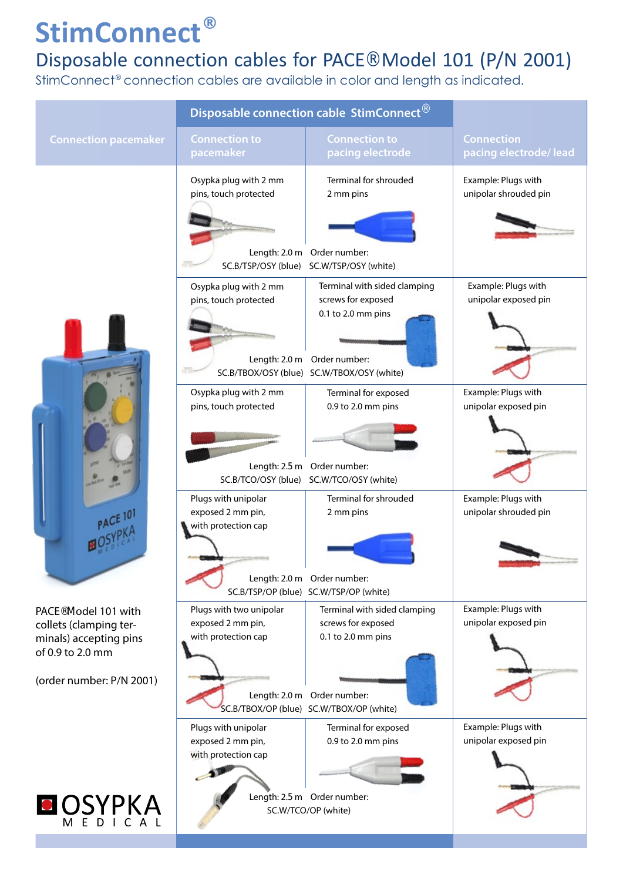### Disposable connection cables for PACE® Model 101 (P/N 2001)

StimConnect® connection cables are available in color and length as indicated.

| <b>Connection to</b><br>pacemaker<br>Osypka plug with 2 mm          | <b>Connection to</b><br>pacing electrode                                 | <b>Connection</b><br>pacing electrode/ lead                                                                                                                                                                                                                                                                                                                                                                                               |
|---------------------------------------------------------------------|--------------------------------------------------------------------------|-------------------------------------------------------------------------------------------------------------------------------------------------------------------------------------------------------------------------------------------------------------------------------------------------------------------------------------------------------------------------------------------------------------------------------------------|
|                                                                     |                                                                          |                                                                                                                                                                                                                                                                                                                                                                                                                                           |
| pins, touch protected                                               | Terminal for shrouded<br>2 mm pins                                       | Example: Plugs with<br>unipolar shrouded pin                                                                                                                                                                                                                                                                                                                                                                                              |
| Osypka plug with 2 mm<br>pins, touch protected                      | Terminal with sided clamping<br>screws for exposed<br>0.1 to 2.0 mm pins | Example: Plugs with<br>unipolar exposed pin                                                                                                                                                                                                                                                                                                                                                                                               |
| Osypka plug with 2 mm<br>pins, touch protected                      | Terminal for exposed<br>0.9 to 2.0 mm pins                               | Example: Plugs with<br>unipolar exposed pin                                                                                                                                                                                                                                                                                                                                                                                               |
| Plugs with unipolar<br>exposed 2 mm pin,<br>with protection cap     | <b>Terminal for shrouded</b><br>2 mm pins                                | Example: Plugs with<br>unipolar shrouded pin                                                                                                                                                                                                                                                                                                                                                                                              |
| Plugs with two unipolar<br>exposed 2 mm pin,<br>with protection cap | Terminal with sided clamping<br>screws for exposed<br>0.1 to 2.0 mm pins | Example: Plugs with<br>unipolar exposed pin                                                                                                                                                                                                                                                                                                                                                                                               |
| Plugs with unipolar<br>exposed 2 mm pin,<br>with protection cap     | Terminal for exposed<br>0.9 to 2.0 mm pins                               | Example: Plugs with<br>unipolar exposed pin                                                                                                                                                                                                                                                                                                                                                                                               |
|                                                                     |                                                                          | Length: 2.0 m Order number:<br>SC.B/TSP/OSY (blue) SC.W/TSP/OSY (white)<br>Length: 2.0 m Order number:<br>SC.B/TBOX/OSY (blue) SC.W/TBOX/OSY (white)<br>Length: 2.5 m Order number:<br>SC.B/TCO/OSY (blue) SC.W/TCO/OSY (white)<br>Length: 2.0 m Order number:<br>SC.B/TSP/OP (blue) SC.W/TSP/OP (white)<br>Length: 2.0 m Order number:<br>SC.B/TBOX/OP (blue) SC.W/TBOX/OP (white)<br>Length: 2.5 m Order number:<br>SC.W/TCO/OP (white) |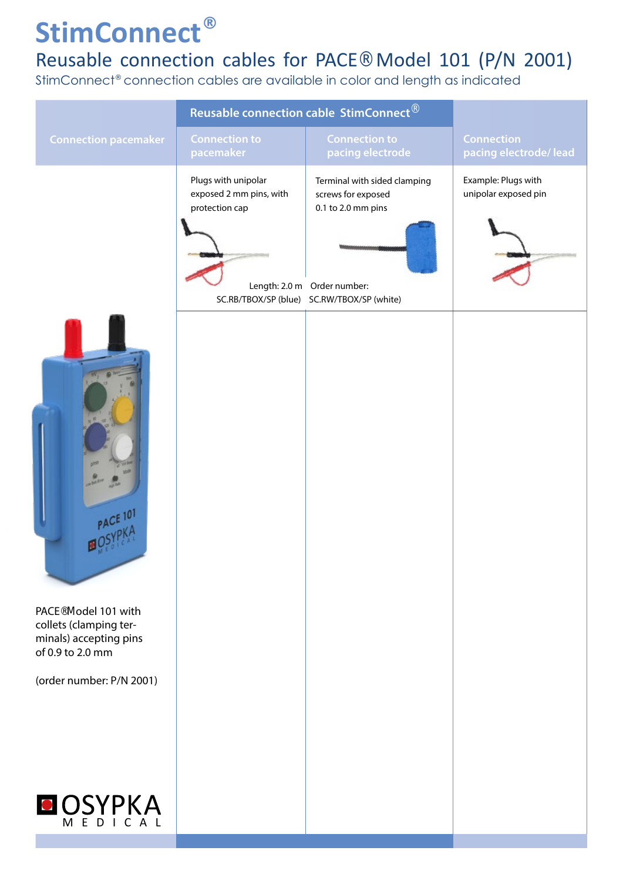#### Reusable connection cables for PACE® Model 101 (P/N 2001)

StimConnect® connection cables are available in color and length as indicated

|                                                                                                  | Reusable connection cable StimConnect <sup>®</sup>               |                                                                           |                                             |
|--------------------------------------------------------------------------------------------------|------------------------------------------------------------------|---------------------------------------------------------------------------|---------------------------------------------|
| <b>Connection pacemaker</b>                                                                      | <b>Connection to</b><br>pacemaker                                | <b>Connection to</b><br>pacing electrode                                  | <b>Connection</b><br>pacing electrode/lead  |
|                                                                                                  | Plugs with unipolar<br>exposed 2 mm pins, with<br>protection cap | Terminal with sided clamping<br>screws for exposed<br>0.1 to 2.0 mm pins  | Example: Plugs with<br>unipolar exposed pin |
|                                                                                                  |                                                                  | Length: 2.0 m Order number:<br>SC.RB/TBOX/SP (blue) SC.RW/TBOX/SP (white) |                                             |
| PACE 101<br>PACE <sup>®</sup> Model 101 with<br>collets (clamping ter-<br>minals) accepting pins |                                                                  |                                                                           |                                             |
| of 0.9 to 2.0 mm                                                                                 |                                                                  |                                                                           |                                             |
| (order number: P/N 2001)                                                                         |                                                                  |                                                                           |                                             |
| <b>O</b> OSYPKA<br>MEDICAL                                                                       |                                                                  |                                                                           |                                             |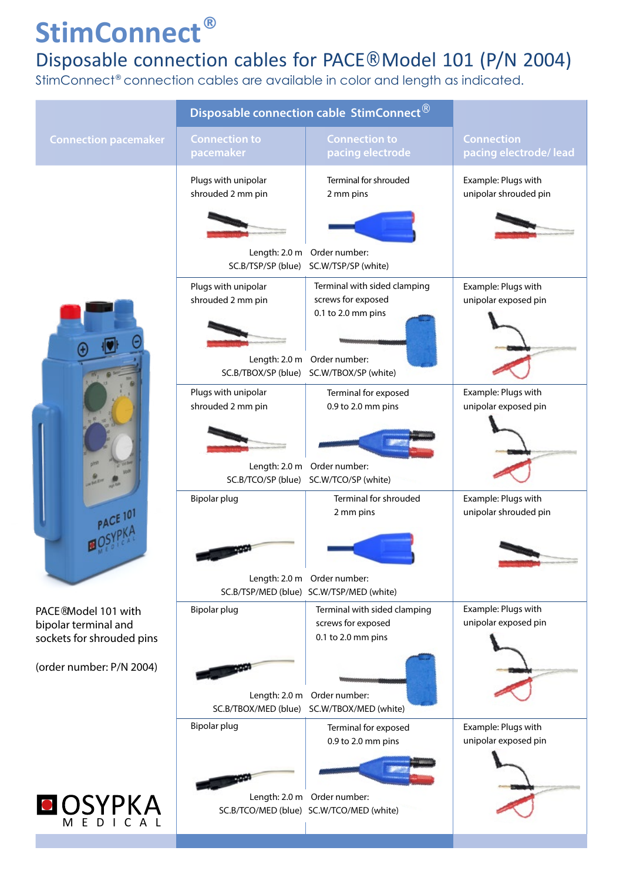### Disposable connection cables for PACE® Model 101 (P/N 2004)

StimConnect® connection cables are available in color and length as indicated.

|                                                                                       | Disposable connection cable StimConnect  |                                                                          |                                              |
|---------------------------------------------------------------------------------------|------------------------------------------|--------------------------------------------------------------------------|----------------------------------------------|
| <b>Connection pacemaker</b>                                                           | <b>Connection to</b><br>pacemaker        | <b>Connection to</b><br>pacing electrode                                 | <b>Connection</b><br>pacing electrode/lead   |
| PACE 10                                                                               | Plugs with unipolar<br>shrouded 2 mm pin | Terminal for shrouded<br>2 mm pins                                       | Example: Plugs with<br>unipolar shrouded pin |
|                                                                                       |                                          |                                                                          |                                              |
|                                                                                       | SC.B/TSP/SP (blue)                       | Length: 2.0 m Order number:<br>SC.W/TSP/SP (white)                       |                                              |
|                                                                                       | Plugs with unipolar<br>shrouded 2 mm pin | Terminal with sided clamping<br>screws for exposed<br>0.1 to 2.0 mm pins | Example: Plugs with<br>unipolar exposed pin  |
|                                                                                       | SC.B/TBOX/SP (blue)                      | Length: 2.0 m Order number:<br>SC.W/TBOX/SP (white)                      |                                              |
|                                                                                       | Plugs with unipolar<br>shrouded 2 mm pin | Terminal for exposed<br>0.9 to 2.0 mm pins                               | Example: Plugs with<br>unipolar exposed pin  |
|                                                                                       | Length: 2.0 m                            | Order number:                                                            |                                              |
|                                                                                       | SC.B/TCO/SP (blue)<br>Bipolar plug       | SC.W/TCO/SP (white)<br>Terminal for shrouded<br>2 mm pins                | Example: Plugs with<br>unipolar shrouded pin |
|                                                                                       |                                          |                                                                          |                                              |
|                                                                                       |                                          | Length: 2.0 m Order number:<br>SC.B/TSP/MED (blue) SC.W/TSP/MED (white)  |                                              |
| PACE <sup>®</sup> Model 101 with<br>bipolar terminal and<br>sockets for shrouded pins | Bipolar plug                             | Terminal with sided clamping<br>screws for exposed<br>0.1 to 2.0 mm pins | Example: Plugs with<br>unipolar exposed pin  |
| (order number: P/N 2004)                                                              |                                          | Length: 2.0 m Order number:                                              |                                              |
|                                                                                       |                                          | SC.B/TBOX/MED (blue) SC.W/TBOX/MED (white)                               |                                              |
|                                                                                       | Bipolar plug                             | Terminal for exposed<br>0.9 to 2.0 mm pins                               | Example: Plugs with<br>unipolar exposed pin  |
|                                                                                       |                                          | Length: 2.0 m Order number:                                              |                                              |
| OSYPKA                                                                                |                                          | SC.B/TCO/MED (blue) SC.W/TCO/MED (white)                                 |                                              |